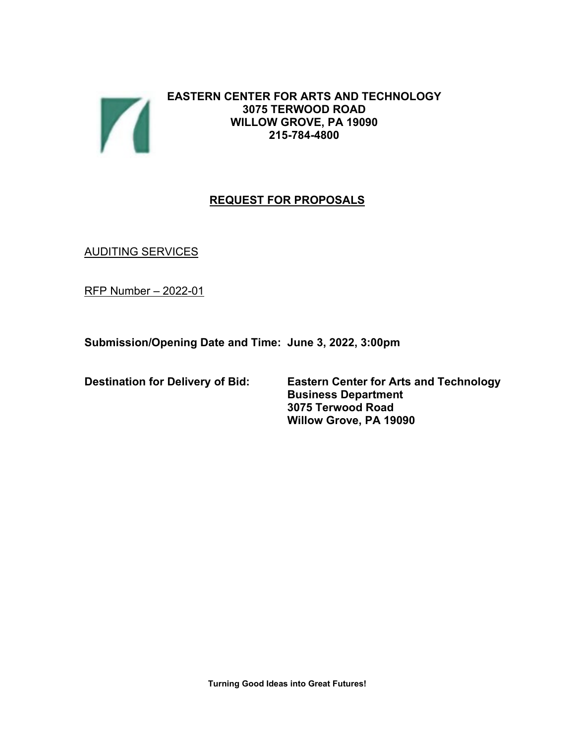

**EASTERN CENTER FOR ARTS AND TECHNOLOGY 3075 TERWOOD ROAD WILLOW GROVE, PA 19090 215-784-4800**

# **REQUEST FOR PROPOSALS**

**AUDITING SERVICES** 

RFP Number – 2022-01

**Submission/Opening Date and Time: June 3, 2022, 3:00pm**

**Destination for Delivery of Bid: Eastern Center for Arts and Technology Business Department 3075 Terwood Road Willow Grove, PA 19090**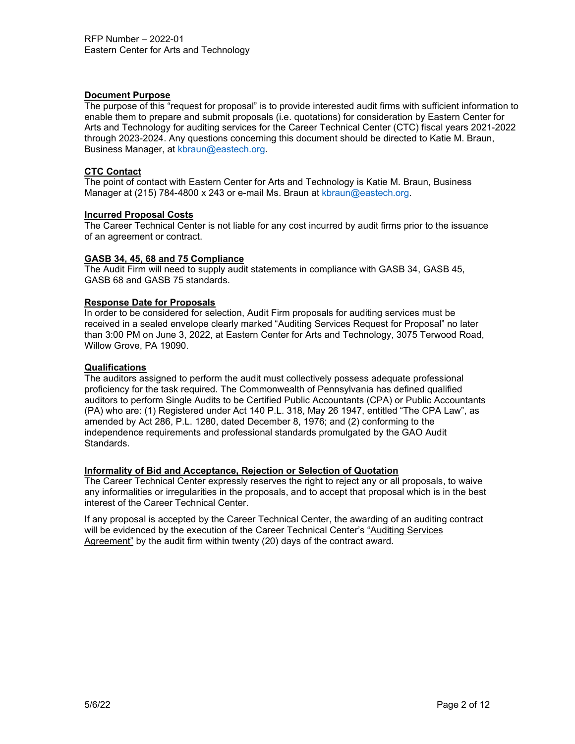# **Document Purpose**

The purpose of this "request for proposal" is to provide interested audit firms with sufficient information to enable them to prepare and submit proposals (i.e. quotations) for consideration by Eastern Center for Arts and Technology for auditing services for the Career Technical Center (CTC) fiscal years 2021-2022 through 2023-2024. Any questions concerning this document should be directed to Katie M. Braun, Business Manager, at [kbraun@eastech.org.](mailto:kbraun@eastech.org)

# **CTC Contact**

The point of contact with Eastern Center for Arts and Technology is Katie M. Braun, Business Manager at (215) 784-4800 x 243 or e-mail Ms. Braun at [kbraun@eastech.org.](mailto:kbraun@eastech.org)

#### **Incurred Proposal Costs**

The Career Technical Center is not liable for any cost incurred by audit firms prior to the issuance of an agreement or contract.

# **GASB 34, 45, 68 and 75 Compliance**

The Audit Firm will need to supply audit statements in compliance with GASB 34, GASB 45, GASB 68 and GASB 75 standards.

# **Response Date for Proposals**

In order to be considered for selection, Audit Firm proposals for auditing services must be received in a sealed envelope clearly marked "Auditing Services Request for Proposal" no later than 3:00 PM on June 3, 2022, at Eastern Center for Arts and Technology, 3075 Terwood Road, Willow Grove, PA 19090.

# **Qualifications**

The auditors assigned to perform the audit must collectively possess adequate professional proficiency for the task required. The Commonwealth of Pennsylvania has defined qualified auditors to perform Single Audits to be Certified Public Accountants (CPA) or Public Accountants (PA) who are: (1) Registered under Act 140 P.L. 318, May 26 1947, entitled "The CPA Law", as amended by Act 286, P.L. 1280, dated December 8, 1976; and (2) conforming to the independence requirements and professional standards promulgated by the GAO Audit Standards.

#### **Informality of Bid and Acceptance, Rejection or Selection of Quotation**

The Career Technical Center expressly reserves the right to reject any or all proposals, to waive any informalities or irregularities in the proposals, and to accept that proposal which is in the best interest of the Career Technical Center.

If any proposal is accepted by the Career Technical Center, the awarding of an auditing contract will be evidenced by the execution of the Career Technical Center's "Auditing Services Agreement" by the audit firm within twenty (20) days of the contract award.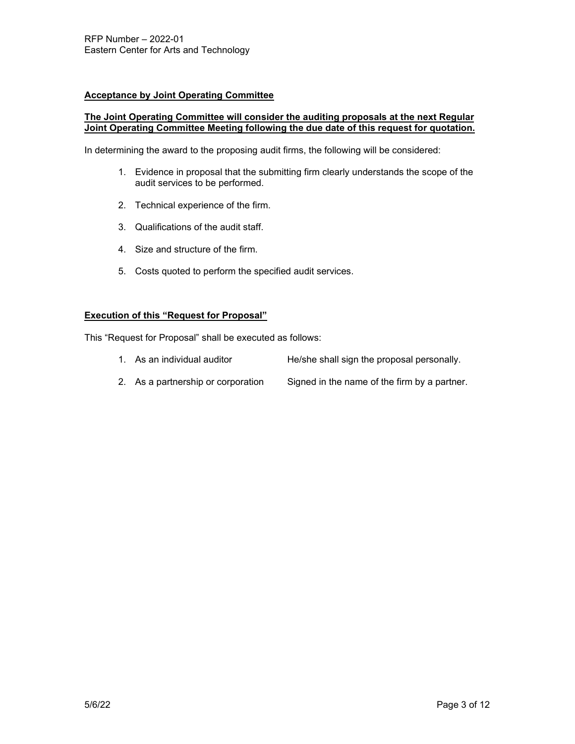# **Acceptance by Joint Operating Committee**

### **The Joint Operating Committee will consider the auditing proposals at the next Regular Joint Operating Committee Meeting following the due date of this request for quotation.**

In determining the award to the proposing audit firms, the following will be considered:

- 1. Evidence in proposal that the submitting firm clearly understands the scope of the audit services to be performed.
- 2. Technical experience of the firm.
- 3. Qualifications of the audit staff.
- 4. Size and structure of the firm.
- 5. Costs quoted to perform the specified audit services.

# **Execution of this "Request for Proposal"**

This "Request for Proposal" shall be executed as follows:

- 1. As an individual auditor He/she shall sign the proposal personally.
- 2. As a partnership or corporation Signed in the name of the firm by a partner.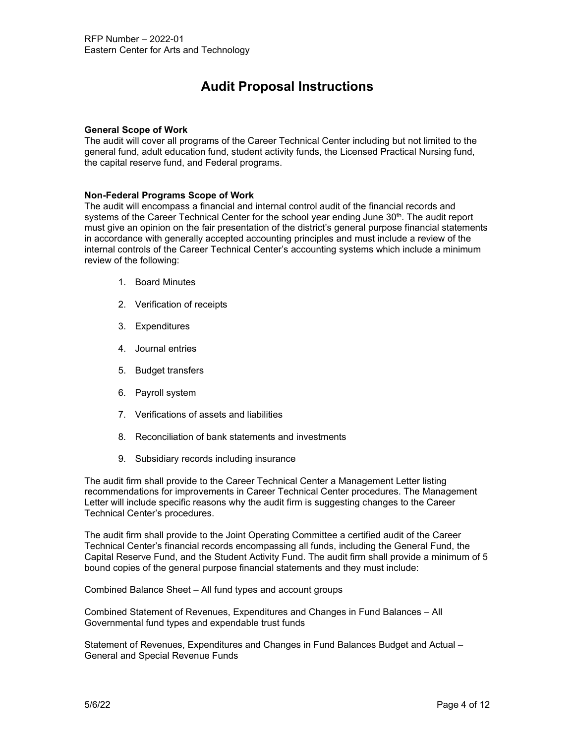# **Audit Proposal Instructions**

#### **General Scope of Work**

The audit will cover all programs of the Career Technical Center including but not limited to the general fund, adult education fund, student activity funds, the Licensed Practical Nursing fund, the capital reserve fund, and Federal programs.

#### **Non-Federal Programs Scope of Work**

The audit will encompass a financial and internal control audit of the financial records and systems of the Career Technical Center for the school year ending June 30<sup>th</sup>. The audit report must give an opinion on the fair presentation of the district's general purpose financial statements in accordance with generally accepted accounting principles and must include a review of the internal controls of the Career Technical Center's accounting systems which include a minimum review of the following:

- 1. Board Minutes
- 2. Verification of receipts
- 3. Expenditures
- 4. Journal entries
- 5. Budget transfers
- 6. Payroll system
- 7. Verifications of assets and liabilities
- 8. Reconciliation of bank statements and investments
- 9. Subsidiary records including insurance

The audit firm shall provide to the Career Technical Center a Management Letter listing recommendations for improvements in Career Technical Center procedures. The Management Letter will include specific reasons why the audit firm is suggesting changes to the Career Technical Center's procedures.

The audit firm shall provide to the Joint Operating Committee a certified audit of the Career Technical Center's financial records encompassing all funds, including the General Fund, the Capital Reserve Fund, and the Student Activity Fund. The audit firm shall provide a minimum of 5 bound copies of the general purpose financial statements and they must include:

Combined Balance Sheet – All fund types and account groups

Combined Statement of Revenues, Expenditures and Changes in Fund Balances – All Governmental fund types and expendable trust funds

Statement of Revenues, Expenditures and Changes in Fund Balances Budget and Actual – General and Special Revenue Funds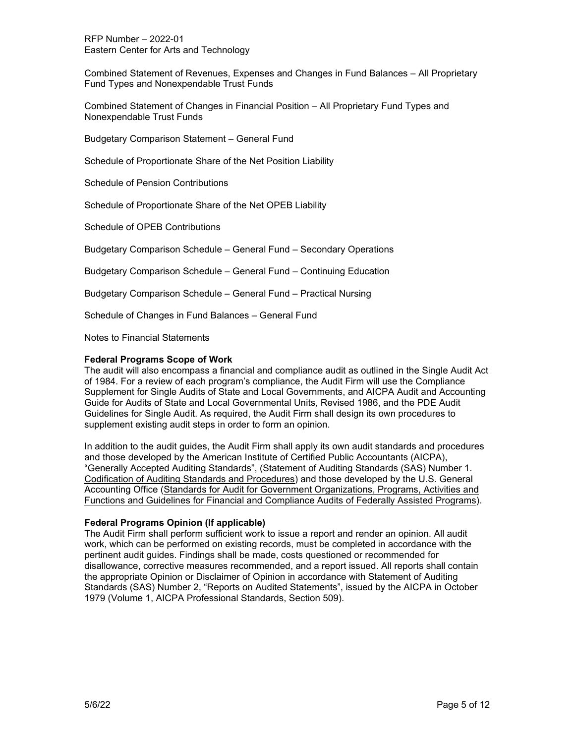RFP Number – 2022-01 Eastern Center for Arts and Technology

Combined Statement of Revenues, Expenses and Changes in Fund Balances – All Proprietary Fund Types and Nonexpendable Trust Funds

Combined Statement of Changes in Financial Position – All Proprietary Fund Types and Nonexpendable Trust Funds

Budgetary Comparison Statement – General Fund

Schedule of Proportionate Share of the Net Position Liability

Schedule of Pension Contributions

Schedule of Proportionate Share of the Net OPEB Liability

Schedule of OPEB Contributions

Budgetary Comparison Schedule – General Fund – Secondary Operations

Budgetary Comparison Schedule – General Fund – Continuing Education

Budgetary Comparison Schedule – General Fund – Practical Nursing

Schedule of Changes in Fund Balances – General Fund

Notes to Financial Statements

#### **Federal Programs Scope of Work**

The audit will also encompass a financial and compliance audit as outlined in the Single Audit Act of 1984. For a review of each program's compliance, the Audit Firm will use the Compliance Supplement for Single Audits of State and Local Governments, and AICPA Audit and Accounting Guide for Audits of State and Local Governmental Units, Revised 1986, and the PDE Audit Guidelines for Single Audit. As required, the Audit Firm shall design its own procedures to supplement existing audit steps in order to form an opinion.

In addition to the audit guides, the Audit Firm shall apply its own audit standards and procedures and those developed by the American Institute of Certified Public Accountants (AICPA), "Generally Accepted Auditing Standards", (Statement of Auditing Standards (SAS) Number 1. Codification of Auditing Standards and Procedures) and those developed by the U.S. General Accounting Office (Standards for Audit for Government Organizations, Programs, Activities and Functions and Guidelines for Financial and Compliance Audits of Federally Assisted Programs).

# **Federal Programs Opinion (If applicable)**

The Audit Firm shall perform sufficient work to issue a report and render an opinion. All audit work, which can be performed on existing records, must be completed in accordance with the pertinent audit guides. Findings shall be made, costs questioned or recommended for disallowance, corrective measures recommended, and a report issued. All reports shall contain the appropriate Opinion or Disclaimer of Opinion in accordance with Statement of Auditing Standards (SAS) Number 2, "Reports on Audited Statements", issued by the AICPA in October 1979 (Volume 1, AICPA Professional Standards, Section 509).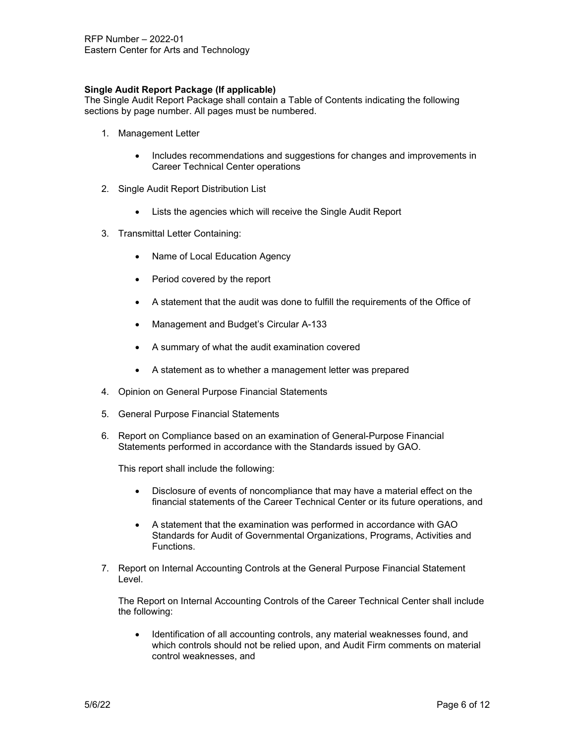# **Single Audit Report Package (If applicable)**

The Single Audit Report Package shall contain a Table of Contents indicating the following sections by page number. All pages must be numbered.

- 1. Management Letter
	- Includes recommendations and suggestions for changes and improvements in Career Technical Center operations
- 2. Single Audit Report Distribution List
	- Lists the agencies which will receive the Single Audit Report
- 3. Transmittal Letter Containing:
	- Name of Local Education Agency
	- Period covered by the report
	- A statement that the audit was done to fulfill the requirements of the Office of
	- Management and Budget's Circular A-133
	- A summary of what the audit examination covered
	- A statement as to whether a management letter was prepared
- 4. Opinion on General Purpose Financial Statements
- 5. General Purpose Financial Statements
- 6. Report on Compliance based on an examination of General-Purpose Financial Statements performed in accordance with the Standards issued by GAO.

This report shall include the following:

- Disclosure of events of noncompliance that may have a material effect on the financial statements of the Career Technical Center or its future operations, and
- A statement that the examination was performed in accordance with GAO Standards for Audit of Governmental Organizations, Programs, Activities and Functions.
- 7. Report on Internal Accounting Controls at the General Purpose Financial Statement Level.

The Report on Internal Accounting Controls of the Career Technical Center shall include the following:

Identification of all accounting controls, any material weaknesses found, and which controls should not be relied upon, and Audit Firm comments on material control weaknesses, and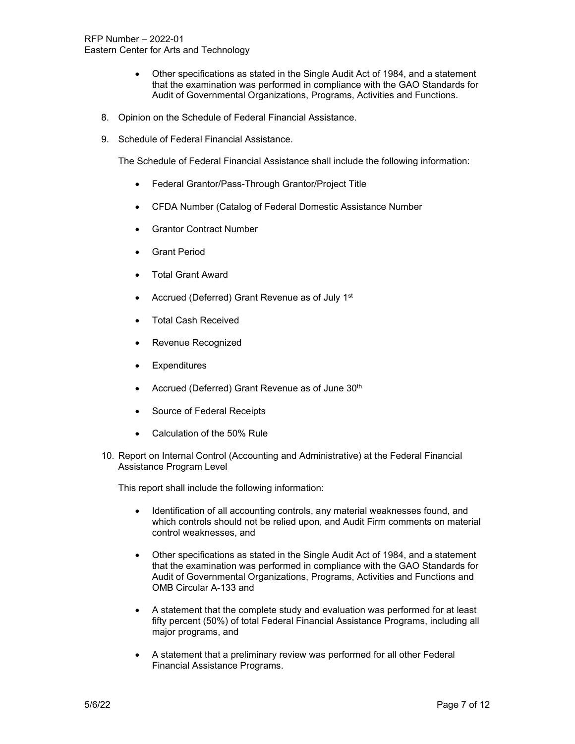- Other specifications as stated in the Single Audit Act of 1984, and a statement that the examination was performed in compliance with the GAO Standards for Audit of Governmental Organizations, Programs, Activities and Functions.
- 8. Opinion on the Schedule of Federal Financial Assistance.
- 9. Schedule of Federal Financial Assistance.

The Schedule of Federal Financial Assistance shall include the following information:

- Federal Grantor/Pass-Through Grantor/Project Title
- CFDA Number (Catalog of Federal Domestic Assistance Number
- **Grantor Contract Number**
- Grant Period
- Total Grant Award
- Accrued (Deferred) Grant Revenue as of July 1<sup>st</sup>
- Total Cash Received
- Revenue Recognized
- **Expenditures**
- Accrued (Deferred) Grant Revenue as of June 30<sup>th</sup>
- Source of Federal Receipts
- Calculation of the 50% Rule
- 10. Report on Internal Control (Accounting and Administrative) at the Federal Financial Assistance Program Level

This report shall include the following information:

- Identification of all accounting controls, any material weaknesses found, and which controls should not be relied upon, and Audit Firm comments on material control weaknesses, and
- Other specifications as stated in the Single Audit Act of 1984, and a statement that the examination was performed in compliance with the GAO Standards for Audit of Governmental Organizations, Programs, Activities and Functions and OMB Circular A-133 and
- A statement that the complete study and evaluation was performed for at least fifty percent (50%) of total Federal Financial Assistance Programs, including all major programs, and
- A statement that a preliminary review was performed for all other Federal Financial Assistance Programs.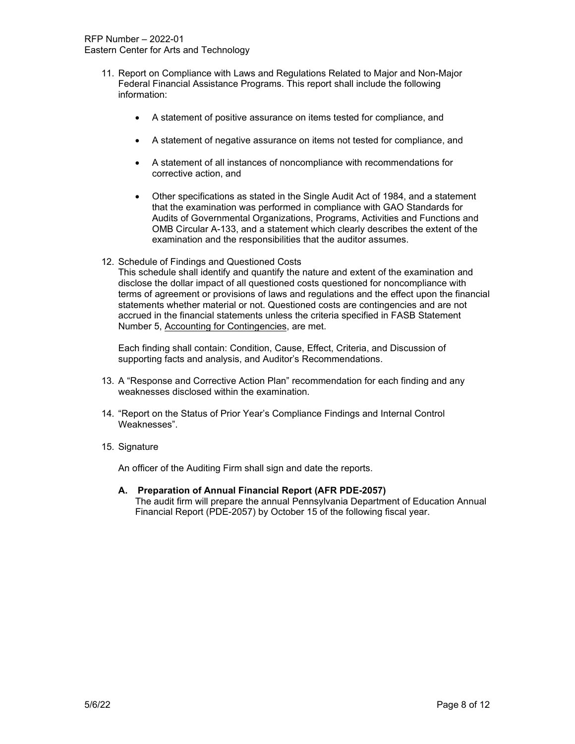- 11. Report on Compliance with Laws and Regulations Related to Major and Non-Major Federal Financial Assistance Programs. This report shall include the following information:
	- A statement of positive assurance on items tested for compliance, and
	- A statement of negative assurance on items not tested for compliance, and
	- A statement of all instances of noncompliance with recommendations for corrective action, and
	- Other specifications as stated in the Single Audit Act of 1984, and a statement that the examination was performed in compliance with GAO Standards for Audits of Governmental Organizations, Programs, Activities and Functions and OMB Circular A-133, and a statement which clearly describes the extent of the examination and the responsibilities that the auditor assumes.
- 12. Schedule of Findings and Questioned Costs

This schedule shall identify and quantify the nature and extent of the examination and disclose the dollar impact of all questioned costs questioned for noncompliance with terms of agreement or provisions of laws and regulations and the effect upon the financial statements whether material or not. Questioned costs are contingencies and are not accrued in the financial statements unless the criteria specified in FASB Statement Number 5, Accounting for Contingencies, are met.

Each finding shall contain: Condition, Cause, Effect, Criteria, and Discussion of supporting facts and analysis, and Auditor's Recommendations.

- 13. A "Response and Corrective Action Plan" recommendation for each finding and any weaknesses disclosed within the examination.
- 14. "Report on the Status of Prior Year's Compliance Findings and Internal Control Weaknesses".
- 15. Signature

An officer of the Auditing Firm shall sign and date the reports.

**A. Preparation of Annual Financial Report (AFR PDE-2057)** The audit firm will prepare the annual Pennsylvania Department of Education Annual Financial Report (PDE-2057) by October 15 of the following fiscal year.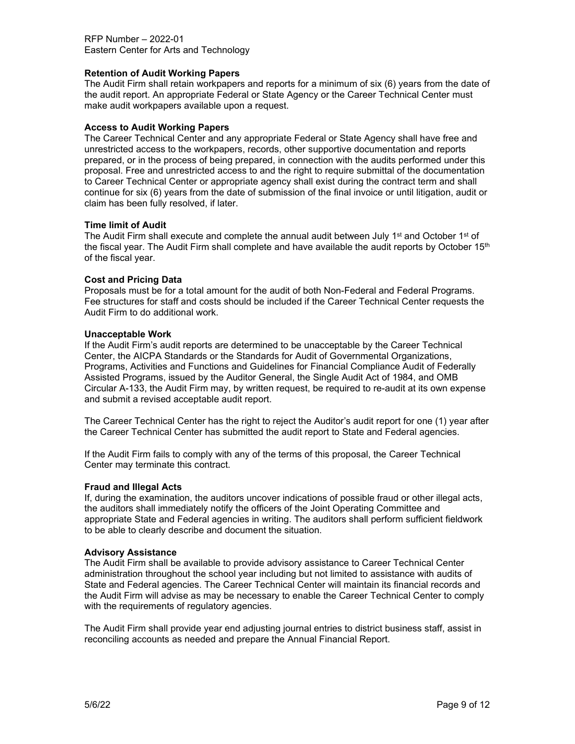RFP Number – 2022-01 Eastern Center for Arts and Technology

### **Retention of Audit Working Papers**

The Audit Firm shall retain workpapers and reports for a minimum of six (6) years from the date of the audit report. An appropriate Federal or State Agency or the Career Technical Center must make audit workpapers available upon a request.

#### **Access to Audit Working Papers**

The Career Technical Center and any appropriate Federal or State Agency shall have free and unrestricted access to the workpapers, records, other supportive documentation and reports prepared, or in the process of being prepared, in connection with the audits performed under this proposal. Free and unrestricted access to and the right to require submittal of the documentation to Career Technical Center or appropriate agency shall exist during the contract term and shall continue for six (6) years from the date of submission of the final invoice or until litigation, audit or claim has been fully resolved, if later.

#### **Time limit of Audit**

The Audit Firm shall execute and complete the annual audit between July 1<sup>st</sup> and October 1<sup>st</sup> of the fiscal year. The Audit Firm shall complete and have available the audit reports by October  $15<sup>th</sup>$ of the fiscal year.

#### **Cost and Pricing Data**

Proposals must be for a total amount for the audit of both Non-Federal and Federal Programs. Fee structures for staff and costs should be included if the Career Technical Center requests the Audit Firm to do additional work.

#### **Unacceptable Work**

If the Audit Firm's audit reports are determined to be unacceptable by the Career Technical Center, the AICPA Standards or the Standards for Audit of Governmental Organizations, Programs, Activities and Functions and Guidelines for Financial Compliance Audit of Federally Assisted Programs, issued by the Auditor General, the Single Audit Act of 1984, and OMB Circular A-133, the Audit Firm may, by written request, be required to re-audit at its own expense and submit a revised acceptable audit report.

The Career Technical Center has the right to reject the Auditor's audit report for one (1) year after the Career Technical Center has submitted the audit report to State and Federal agencies.

If the Audit Firm fails to comply with any of the terms of this proposal, the Career Technical Center may terminate this contract.

#### **Fraud and Illegal Acts**

If, during the examination, the auditors uncover indications of possible fraud or other illegal acts, the auditors shall immediately notify the officers of the Joint Operating Committee and appropriate State and Federal agencies in writing. The auditors shall perform sufficient fieldwork to be able to clearly describe and document the situation.

#### **Advisory Assistance**

The Audit Firm shall be available to provide advisory assistance to Career Technical Center administration throughout the school year including but not limited to assistance with audits of State and Federal agencies. The Career Technical Center will maintain its financial records and the Audit Firm will advise as may be necessary to enable the Career Technical Center to comply with the requirements of regulatory agencies.

The Audit Firm shall provide year end adjusting journal entries to district business staff, assist in reconciling accounts as needed and prepare the Annual Financial Report.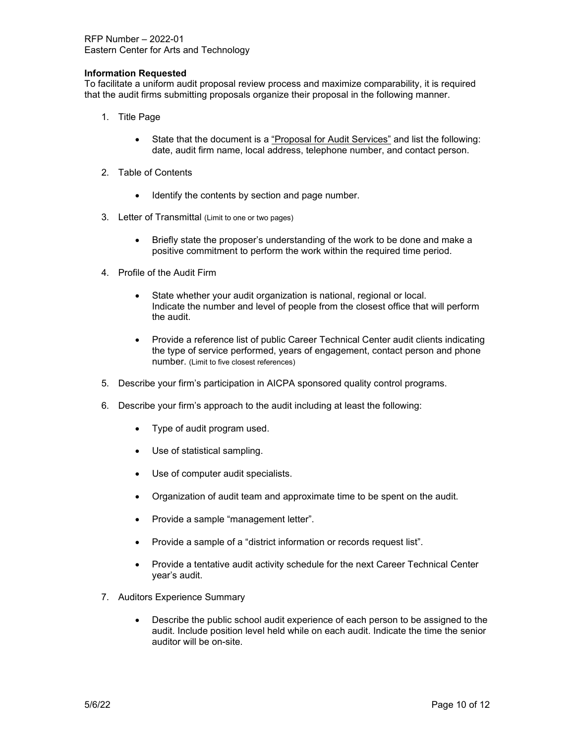RFP Number – 2022-01 Eastern Center for Arts and Technology

### **Information Requested**

To facilitate a uniform audit proposal review process and maximize comparability, it is required that the audit firms submitting proposals organize their proposal in the following manner.

- 1. Title Page
	- State that the document is a "Proposal for Audit Services" and list the following: date, audit firm name, local address, telephone number, and contact person.
- 2. Table of Contents
	- Identify the contents by section and page number.
- 3. Letter of Transmittal (Limit to one or two pages)
	- Briefly state the proposer's understanding of the work to be done and make a positive commitment to perform the work within the required time period.
- 4. Profile of the Audit Firm
	- State whether your audit organization is national, regional or local. Indicate the number and level of people from the closest office that will perform the audit.
	- Provide a reference list of public Career Technical Center audit clients indicating the type of service performed, years of engagement, contact person and phone number. (Limit to five closest references)
- 5. Describe your firm's participation in AICPA sponsored quality control programs.
- 6. Describe your firm's approach to the audit including at least the following:
	- Type of audit program used.
	- Use of statistical sampling.
	- Use of computer audit specialists.
	- Organization of audit team and approximate time to be spent on the audit.
	- Provide a sample "management letter".
	- Provide a sample of a "district information or records request list".
	- Provide a tentative audit activity schedule for the next Career Technical Center year's audit.
- 7. Auditors Experience Summary
	- Describe the public school audit experience of each person to be assigned to the audit. Include position level held while on each audit. Indicate the time the senior auditor will be on-site.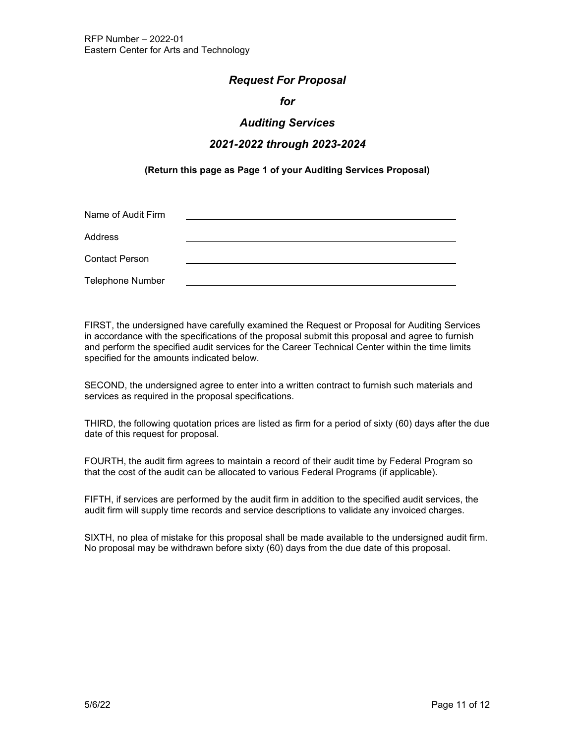# *Request For Proposal*

# *for*

# *Auditing Services*

# *2021-2022 through 2023-2024*

# **(Return this page as Page 1 of your Auditing Services Proposal)**

| Name of Audit Firm      |  |
|-------------------------|--|
| Address                 |  |
| <b>Contact Person</b>   |  |
| <b>Telephone Number</b> |  |

FIRST, the undersigned have carefully examined the Request or Proposal for Auditing Services in accordance with the specifications of the proposal submit this proposal and agree to furnish and perform the specified audit services for the Career Technical Center within the time limits specified for the amounts indicated below.

SECOND, the undersigned agree to enter into a written contract to furnish such materials and services as required in the proposal specifications.

THIRD, the following quotation prices are listed as firm for a period of sixty (60) days after the due date of this request for proposal.

FOURTH, the audit firm agrees to maintain a record of their audit time by Federal Program so that the cost of the audit can be allocated to various Federal Programs (if applicable).

FIFTH, if services are performed by the audit firm in addition to the specified audit services, the audit firm will supply time records and service descriptions to validate any invoiced charges.

SIXTH, no plea of mistake for this proposal shall be made available to the undersigned audit firm. No proposal may be withdrawn before sixty (60) days from the due date of this proposal.